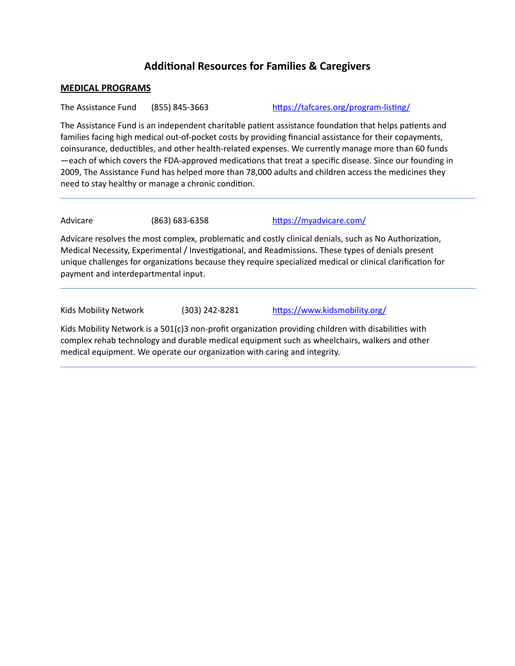# **Additional Resources for Families & Caregivers**

## **MEDICAL PROGRAMS**

The Assistance Fund (855) 845-3663 https://tafcares.org/program-listing/

The Assistance Fund is an independent charitable patient assistance foundation that helps patients and families facing high medical out-of-pocket costs by providing financial assistance for their copayments, coinsurance, deductibles, and other health-related expenses. We currently manage more than 60 funds —each of which covers the FDA-approved medications that treat a specific disease. Since our founding in 2009, The Assistance Fund has helped more than 78,000 adults and children access the medicines they need to stay healthy or manage a chronic condition.

Advicare (863) 683-6358 https://myadvicare.com/

Advicare resolves the most complex, problematic and costly clinical denials, such as No Authorization, Medical Necessity, Experimental / Investigational, and Readmissions. These types of denials present unique challenges for organizations because they require specialized medical or clinical clarification for payment and interdepartmental input.

Kids Mobility Network (303) 242-8281 https://www.kidsmobility.org/

Kids Mobility Network is a  $501(c)3$  non-profit organization providing children with disabilities with complex rehab technology and durable medical equipment such as wheelchairs, walkers and other medical equipment. We operate our organization with caring and integrity.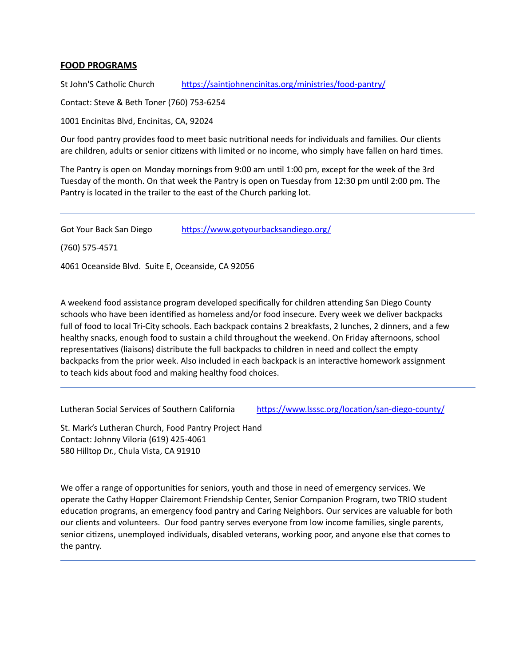## **FOOD PROGRAMS**

[St John'S Catholic Church](https://littlehercules.auntbertha.com/provider/st-john%252527s-catholic-church--encinitas-ca/5759204828119040?postal=92024) https://saintjohnencinitas.org/ministries/food-pantry/

Contact: Steve & Beth Toner (760) 753-6254

[1001 Encinitas Blvd, Encinitas, CA, 92024](https://www.google.com/maps/?q=1001+Encinitas+Blvd,+Encinitas,+CA+92024/) 

Our food pantry provides food to meet basic nutritional needs for individuals and families. Our clients are children, adults or senior citizens with limited or no income, who simply have fallen on hard times.

The Pantry is open on Monday mornings from 9:00 am until 1:00 pm, except for the week of the 3rd Tuesday of the month. On that week the Pantry is open on Tuesday from 12:30 pm until 2:00 pm. The Pantry is located in the trailer to the east of the Church parking lot.

Got Your Back San Diego https://www.gotyourbacksandiego.org/

(760) 575-4571

Ī

4061 Oceanside Blvd. Suite E, Oceanside, CA 92056

A weekend food assistance program developed specifically for children attending San Diego County schools who have been identified as homeless and/or food insecure. Every week we deliver backpacks full of food to local Tri-City schools. Each backpack contains 2 breakfasts, 2 lunches, 2 dinners, and a few healthy snacks, enough food to sustain a child throughout the weekend. On Friday afternoons, school representatives (liaisons) distribute the full backpacks to children in need and collect the empty backpacks from the prior week. Also included in each backpack is an interactive homework assignment to teach kids about food and making healthy food choices.

[Lutheran Social Services of Southern California](https://littlehercules.auntbertha.com/provider/lutheran-social-services-of-southern-california--chula-vista-ca/5140258385821696?postal=92020) https://www.lsssc.org/location/san-diego-county/

St. Mark's Lutheran Church, Food Pantry Project Hand Contact: Johnny Viloria (619) 425-4061 580 Hilltop Dr., Chula Vista, CA 91910

We offer a range of opportunities for seniors, youth and those in need of emergency services. We operate the Cathy Hopper Clairemont Friendship Center, Senior Companion Program, two TRIO student education programs, an emergency food pantry and Caring Neighbors. Our services are valuable for both our clients and volunteers. Our food pantry serves everyone from low income families, single parents, senior citizens, unemployed individuals, disabled veterans, working poor, and anyone else that comes to the pantry.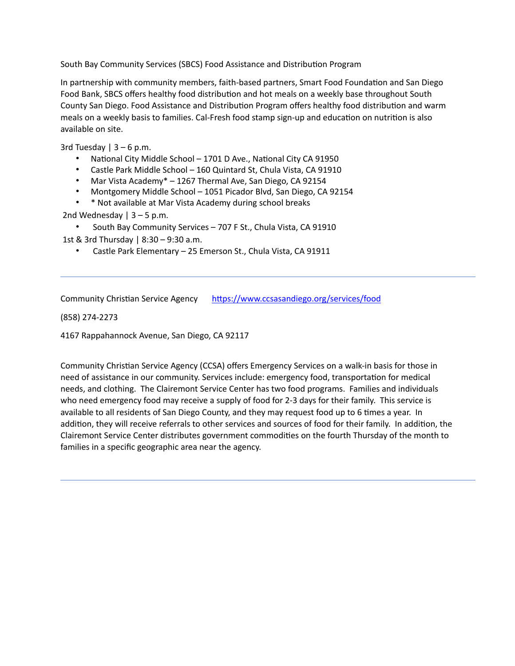[South Bay Community Services \(SBCS\)](https://littlehercules.auntbertha.com/provider/south-bay-community-services-%252528sbcs%252529--chula-vista-ca/6656286181556224?postal=92020) Food Assistance and Distribution Program

In partnership with community members, faith-based partners, Smart Food Foundation and San Diego [Food Bank,](https://sandiegofoodbank.org/) SBCS offers healthy food distribution and hot meals on a weekly base throughout South County San Diego. Food Assistance and Distribution Program offers healthy food distribution and warm meals on a weekly basis to families. Cal-Fresh food stamp sign-up and education on nutrition is also available on site.

3rd Tuesday  $| 3 - 6$  p.m.

- National City Middle School 1701 D Ave., National City CA 91950
- Castle Park Middle School 160 Quintard St, Chula Vista, CA 91910
- Mar Vista Academy\* 1267 Thermal Ave, San Diego, CA 92154
- Montgomery Middle School 1051 Picador Blvd, San Diego, CA 92154
- \* Not available at Mar Vista Academy during school breaks

2nd Wednesday  $| 3 - 5$  p.m.

• South Bay Community Services – 707 F St., Chula Vista, CA 91910

1st & 3rd Thursday | 8:30 – 9:30 a.m.

• Castle Park Elementary – 25 Emerson St., Chula Vista, CA 91911

Community Christian Service Agency https://www.ccsasandiego.org/services/food

(858) 274-2273

Ī

Ī

4167 Rappahannock Avenue, San Diego, CA 92117

Community Christian Service Agency (CCSA) offers Emergency Services on a walk-in basis for those in need of assistance in our community. Services include: emergency food, transportation for medical needs, and clothing. The Clairemont Service Center has two food programs. Families and individuals who need emergency food may receive a supply of food for 2-3 days for their family. This service is available to all residents of San Diego County, and they may request food up to 6 times a year. In addition, they will receive referrals to other services and sources of food for their family. In addition, the Clairemont Service Center distributes government commodities on the fourth Thursday of the month to families in a specific geographic area near the agency.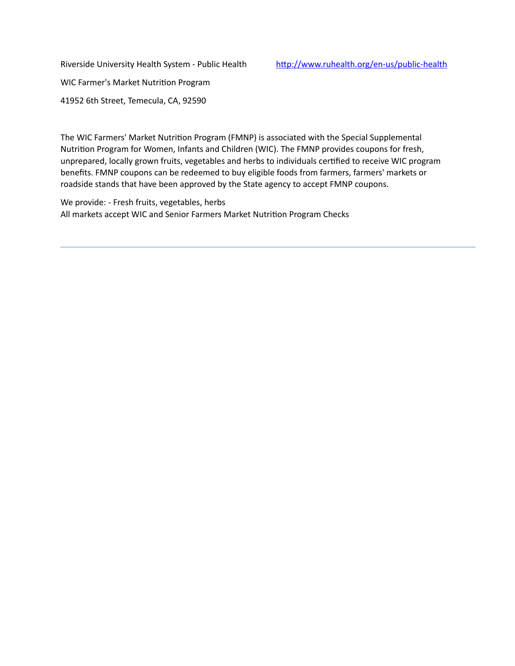Riverside University Health System - Public Health http://www.ruhealth.org/en-us/public-health

WIC Farmer's Market Nutrition Program

Ī

41952 6th Street, Temecula, CA, 92590

The WIC Farmers' Market Nutrition Program (FMNP) is associated with the Special Supplemental Nutrition Program for Women, Infants and Children (WIC). The FMNP provides coupons for fresh, unprepared, locally grown fruits, vegetables and herbs to individuals certified to receive WIC program benefits. FMNP coupons can be redeemed to buy eligible foods from farmers, farmers' markets or roadside stands that have been approved by the State agency to accept FMNP coupons.

We provide: - Fresh fruits, vegetables, herbs All markets accept WIC and Senior Farmers Market Nutrition Program Checks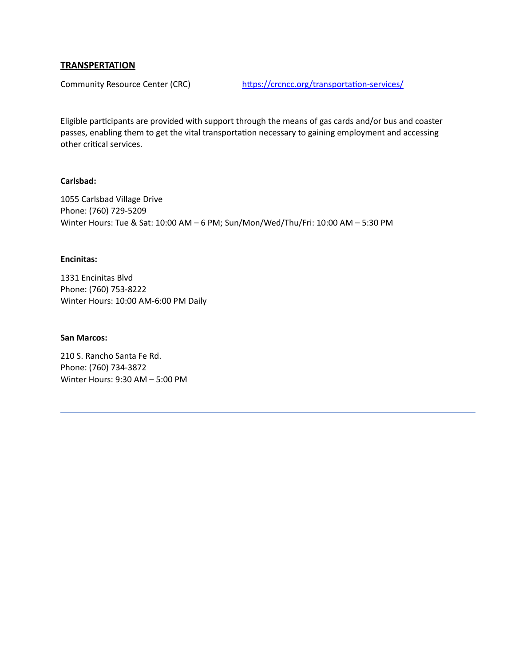## **TRANSPERTATION**

[Community Resource Center \(CRC\)](https://littlehercules.auntbertha.com/provider/community-resource-center-%252528crc%252529--encinitas-ca/5917464806293504?postal=92024) https://crcncc.org/transportation-services/

Eligible participants are provided with support through the means of gas cards and/or bus and coaster passes, enabling them to get the vital transportation necessary to gaining employment and accessing other critical services.

## **Carlsbad:**

1055 Carlsbad Village Drive Phone: (760) 729-5209 Winter Hours: Tue & Sat: 10:00 AM – 6 PM; Sun/Mon/Wed/Thu/Fri: 10:00 AM – 5:30 PM

## **Encinitas:**

1331 Encinitas Blvd Phone: (760) 753-8222 Winter Hours: 10:00 AM-6:00 PM Daily

#### **San Marcos:**

Ī

210 S. Rancho Santa Fe Rd. Phone: (760) 734-3872 Winter Hours: 9:30 AM – 5:00 PM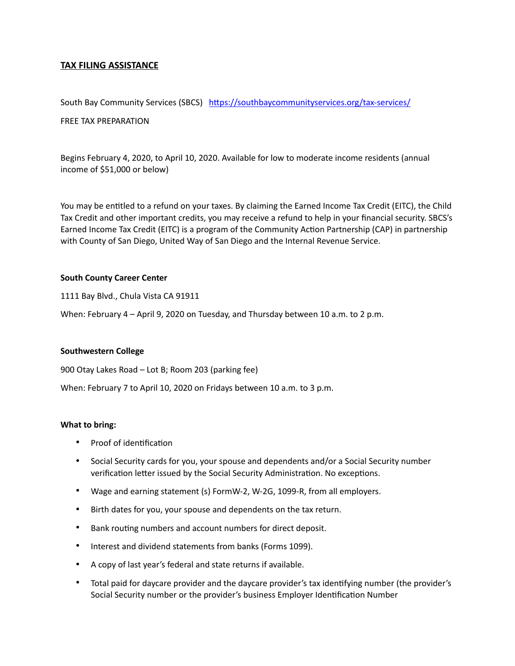## **TAX FILING ASSISTANCE**

[South Bay Community Services \(SBCS\)](https://littlehercules.auntbertha.com/provider/south-bay-community-services-%252528sbcs%252529--chula-vista-ca/6656286181556224?postal=92020) https://southbaycommunityservices.org/tax-services/

### [FREE TAX PREPARATION](https://southbaycommunityservices.org/tax-services/)

Begins February 4, 2020, to April 10, 2020. Available for low to moderate income residents (annual income of \$51,000 or below)

You may be entitled to a refund on your taxes. By claiming the Earned Income Tax Credit (EITC), the Child Tax Credit and other important credits, you may receive a refund to help in your financial security. SBCS's Earned Income Tax Credit (EITC) is a program of the Community Action Partnership (CAP) in partnership with County of San Diego, United Way of San Diego and the Internal Revenue Service.

### **South County Career Center**

1111 Bay Blvd., Chula Vista CA 91911

When: February 4 – April 9, 2020 on Tuesday, and Thursday between 10 a.m. to 2 p.m.

#### **Southwestern College**

900 Otay Lakes Road – Lot B; Room 203 (parking fee)

When: February 7 to April 10, 2020 on Fridays between 10 a.m. to 3 p.m.

#### **What to bring:**

- Proof of identification
- Social Security cards for you, your spouse and dependents and/or a Social Security number verification letter issued by the Social Security Administration. No exceptions.
- Wage and earning statement (s) FormW-2, W-2G, 1099-R, from all employers.
- Birth dates for you, your spouse and dependents on the tax return.
- Bank routing numbers and account numbers for direct deposit.
- Interest and dividend statements from banks (Forms 1099).
- A copy of last year's federal and state returns if available.
- Total paid for daycare provider and the daycare provider's tax identifying number (the provider's Social Security number or the provider's business Employer Identification Number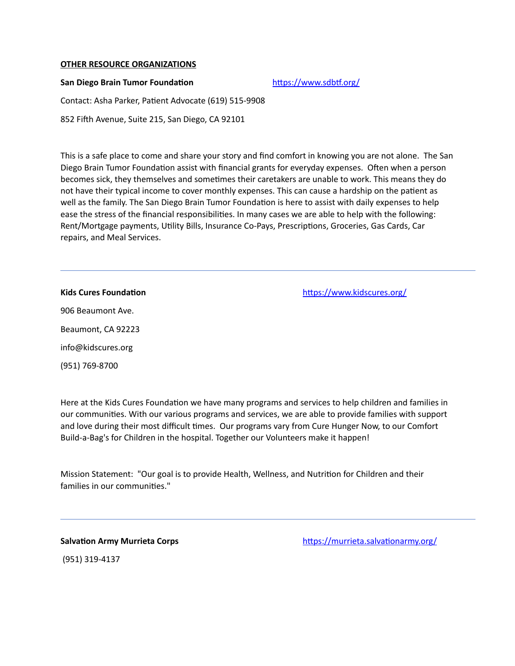#### **OTHER RESOURCE ORGANIZATIONS**

### San Diego Brain Tumor Foundation **https://www.sdbtf.org/**

Contact: Asha Parker, Patient Advocate (619) 515-9908

852 Fifh Avenue, Suite 215, San Diego, CA 92101

This is a safe place to come and share your story and find comfort in knowing you are not alone. The San Diego Brain Tumor Foundation assist with financial grants for everyday expenses. Often when a person becomes sick, they themselves and sometimes their caretakers are unable to work. This means they do not have their typical income to cover monthly expenses. This can cause a hardship on the patient as well as the family. The San Diego Brain Tumor Foundation is here to assist with daily expenses to help ease the stress of the financial responsibilities. In many cases we are able to help with the following: Rent/Mortgage payments, Utility Bills, Insurance Co-Pays, Prescriptions, Groceries, Gas Cards, Car repairs, and Meal Services.

Ī

**Kids Cures Foundation https://www.kidscures.org/** 

906 Beaumont Ave. Beaumont, CA 92223 [info@kidscures.org](mailto:info@kidscures.org)  (951) 769-8700

Here at the Kids Cures Foundation we have many programs and services to help children and families in our communities. With our various programs and services, we are able to provide families with support and love during their most difficult times. Our programs vary from Cure Hunger Now, to our Comfort Build-a-Bag's for Children in the hospital. Together our Volunteers make it happen!

Mission Statement: "Our goal is to provide Health, Wellness, and Nutrition for Children and their families in our communities."

**Salvation Army Murrieta Corps https://murrieta.salvationarmy.org/** 

(951) 319-4137

Ī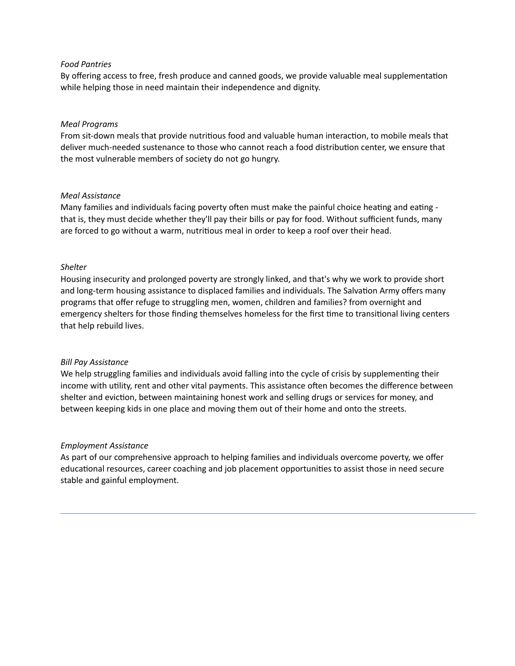### *Food Pantries*

By offering access to free, fresh produce and canned goods, we provide valuable meal supplementation while helping those in need maintain their independence and dignity.

#### *Meal Programs*

From sit-down meals that provide nutritious food and valuable human interaction, to mobile meals that deliver much-needed sustenance to those who cannot reach a food distribution center, we ensure that the most vulnerable members of society do not go hungry.

#### *Meal Assistance*

Many families and individuals facing poverty often must make the painful choice heating and eating that is, they must decide whether they'll pay their bills or pay for food. Without sufficient funds, many are forced to go without a warm, nutritious meal in order to keep a roof over their head.

#### *Shelter*

Housing insecurity and prolonged poverty are strongly linked, and that's why we work to provide short and long-term housing assistance to displaced families and individuals. The Salvation Army offers many programs that offer refuge to struggling men, women, children and families? from overnight and emergency shelters for those finding themselves homeless for the first time to transitional living centers that help rebuild lives.

#### *Bill Pay Assistance*

We help struggling families and individuals avoid falling into the cycle of crisis by supplementing their income with utility, rent and other vital payments. This assistance often becomes the difference between shelter and eviction, between maintaining honest work and selling drugs or services for money, and between keeping kids in one place and moving them out of their home and onto the streets.

#### *Employment Assistance*

Ī

As part of our comprehensive approach to helping families and individuals overcome poverty, we offer educational resources, career coaching and job placement opportunities to assist those in need secure stable and gainful employment.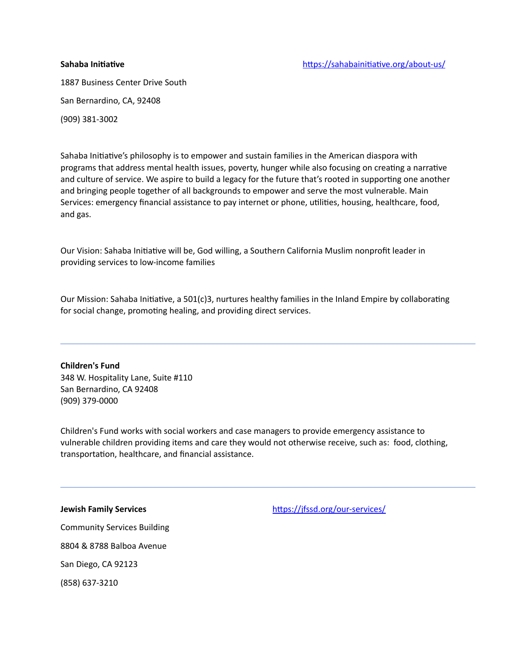1887 Business Center Drive South San Bernardino, CA, 92408

(909) 381-3002

Sahaba Initiative's philosophy is to empower and sustain families in the American diaspora with programs that address mental health issues, poverty, hunger while also focusing on creating a narrative and culture of service. We aspire to build a legacy for the future that's rooted in supporting one another and bringing people together of all backgrounds to empower and serve the most vulnerable. Main Services: emergency financial assistance to pay internet or phone, utilities, housing, healthcare, food, and gas.

Our Vision: Sahaba Initiative will be, God willing, a Southern California Muslim nonprofit leader in providing services to low-income families

Our Mission: Sahaba Initiative, a 501(c)3, nurtures healthy families in the Inland Empire by collaborating for social change, promoting healing, and providing direct services.

**Children's Fund**  348 W. Hospitality Lane, Suite #110 San Bernardino, CA 92408 (909) 379-0000

Ī

Children's Fund works with social workers and case managers to provide emergency assistance to vulnerable children providing items and care they would not otherwise receive, such as: food, clothing, transportation, healthcare, and financial assistance.

**Jewish Family Services** https://jfssd.org/our-services/

Community Services Building 8804 & 8788 Balboa Avenue San Diego, CA 92123 (858) 637-3210